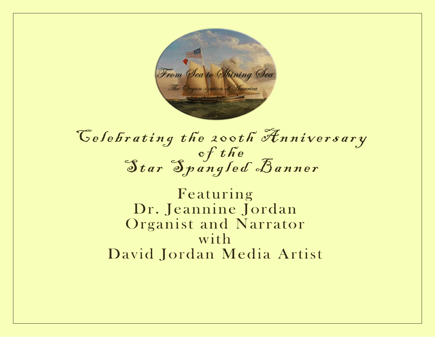

# Celebrating the 200th Anniversary Star Spangled Banner

Featuring Dr. Jeannine Jordan Organist and Narrator with David Jordan Media Artist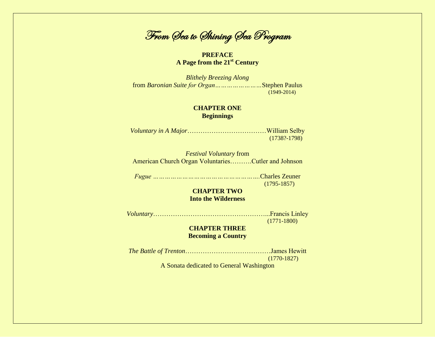From Sea to Shining Sea Program

**PREFACE A Page from the 21st Century**

*Blithely Breezing Along* from *Baronian Suite for Organ……………………*Stephen Paulus (1949-2014)

#### **CHAPTER ONE Beginnings**

*Voluntary in A Major*………………………………William Selby (1738?-1798)

*Festival Voluntary* from American Church Organ Voluntaries……….Cutler and Johnson

*Fugue ……………………………………………….*Charles Zeuner (1795-1857)

# **CHAPTER TWO Into the Wilderness**

*Voluntary*……………………………………………...Francis Linley (1771-1800)

#### **CHAPTER THREE Becoming a Country**

*The Battle of Trenton*…………………………………James Hewitt (1770-1827)

A Sonata dedicated to General Washington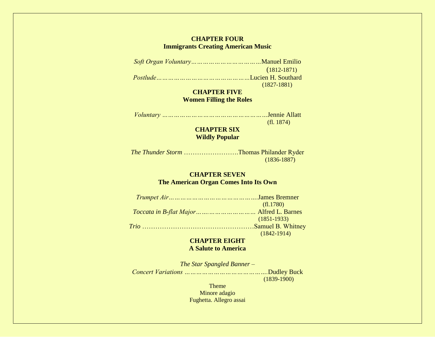#### **CHAPTER FOUR Immigrants Creating American Music**

*Soft Organ Voluntary………………………………*Manuel Emilio (1812-1871) *Postlude…………………………………………*Lucien H. Southard (1827-1881)

# **CHAPTER FIVE Women Filling the Roles**

*Voluntary ………………………………………………*Jennie Allatt (fl. 1874)

## **CHAPTER SIX Wildly Popular**

*The Thunder Storm* …………………….Thomas Philander Ryder (1836-1887)

# **CHAPTER SEVEN The American Organ Comes Into Its Own**

*Trumpet Air……………………………………….*James Bremner (fl.1780) *Toccata in B-flat Major…….……………………* Alfred L. Barnes (1851-1933) *Trio* ……………………………………………Samuel B. Whitney (1842-1914)

## **CHAPTER EIGHT A Salute to America**

*The Star Spangled Banner – Concert Variations …………………………………….*Dudley Buck (1839-1900)

> Theme Minore adagio Fughetta. Allegro assai